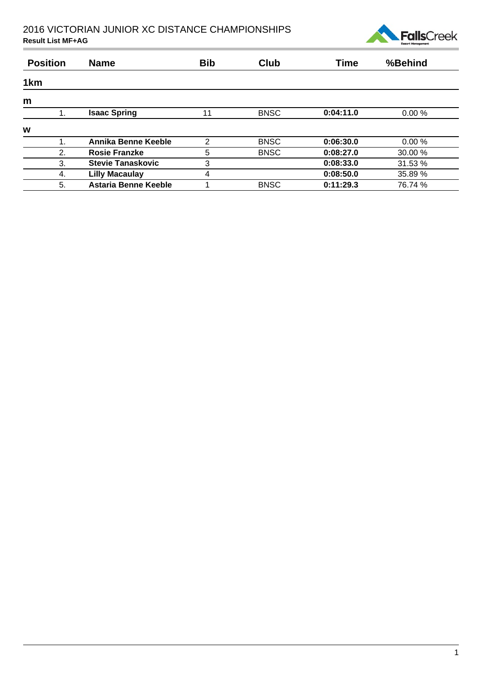

| <b>Position</b> | <b>Name</b>              | <b>Bib</b>     | Club        | <b>Time</b> | %Behind |  |
|-----------------|--------------------------|----------------|-------------|-------------|---------|--|
| 1 <sub>km</sub> |                          |                |             |             |         |  |
| m               |                          |                |             |             |         |  |
|                 | <b>Isaac Spring</b>      | 11             | <b>BNSC</b> | 0:04:11.0   | 0.00%   |  |
| W               |                          |                |             |             |         |  |
|                 | Annika Benne Keeble      | $\mathfrak{p}$ | <b>BNSC</b> | 0:06:30.0   | 0.00%   |  |
| 2.              | <b>Rosie Franzke</b>     | 5              | <b>BNSC</b> | 0:08:27.0   | 30.00 % |  |
| 3.              | <b>Stevie Tanaskovic</b> | 3              |             | 0:08:33.0   | 31.53 % |  |
| 4.              | <b>Lilly Macaulay</b>    | 4              |             | 0:08:50.0   | 35.89 % |  |
| 5.              | Astaria Benne Keeble     |                | <b>BNSC</b> | 0:11:29.3   | 76.74 % |  |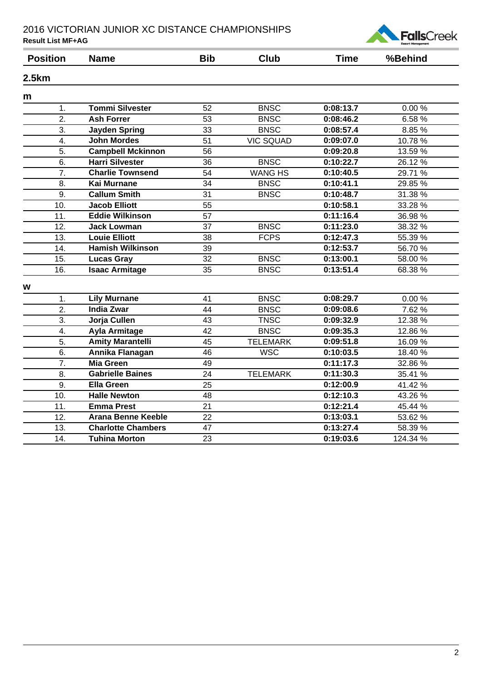

| <b>Position</b> | <b>Name</b>               | <b>Bib</b>      | <b>Club</b>      | <b>Time</b>            | %Behind  |
|-----------------|---------------------------|-----------------|------------------|------------------------|----------|
| 2.5km           |                           |                 |                  |                        |          |
| m               |                           |                 |                  |                        |          |
| 1.              | <b>Tommi Silvester</b>    | 52              | <b>BNSC</b>      | 0:08:13.7              | 0.00%    |
| 2.              | <b>Ash Forrer</b>         | 53              | <b>BNSC</b>      | 0:08:46.2              | 6.58%    |
| 3.              | <b>Jayden Spring</b>      | 33              | <b>BNSC</b>      | 0:08:57.4              | 8.85 %   |
| 4.              | <b>John Mordes</b>        | 51              | <b>VIC SQUAD</b> | 0:09:07.0              | 10.78%   |
| 5.              | <b>Campbell Mckinnon</b>  | 56              |                  | 0:09:20.8              | 13.59 %  |
| 6.              | <b>Harri Silvester</b>    | 36              | <b>BNSC</b>      | $0:10:22.\overline{7}$ | 26.12%   |
| 7.              | <b>Charlie Townsend</b>   | 54              | <b>WANG HS</b>   | 0:10:40.5              | 29.71 %  |
| 8.              | <b>Kai Murnane</b>        | 34              | <b>BNSC</b>      | 0:10:41.1              | 29.85 %  |
| 9.              | <b>Callum Smith</b>       | 31              | <b>BNSC</b>      | 0:10:48.7              | 31.38 %  |
| 10.             | <b>Jacob Elliott</b>      | 55              |                  | 0:10:58.1              | 33.28 %  |
| 11.             | <b>Eddie Wilkinson</b>    | 57              |                  | 0:11:16.4              | 36.98 %  |
| 12.             | <b>Jack Lowman</b>        | 37              | <b>BNSC</b>      | 0:11:23.0              | 38.32 %  |
| 13.             | <b>Louie Elliott</b>      | 38              | <b>FCPS</b>      | 0:12:47.3              | 55.39 %  |
| 14.             | <b>Hamish Wilkinson</b>   | 39              |                  | 0:12:53.7              | 56.70%   |
| 15.             | <b>Lucas Gray</b>         | 32              | <b>BNSC</b>      | 0:13:00.1              | 58.00 %  |
| 16.             | <b>Isaac Armitage</b>     | 35              | <b>BNSC</b>      | 0:13:51.4              | 68.38 %  |
| W               |                           |                 |                  |                        |          |
| 1.              | <b>Lily Murnane</b>       | 41              | <b>BNSC</b>      | 0:08:29.7              | 0.00%    |
| 2.              | <b>India Zwar</b>         | 44              | <b>BNSC</b>      | 0:09:08.6              | 7.62%    |
| 3.              | Jorja Cullen              | 43              | <b>TNSC</b>      | 0:09:32.9              | 12.38 %  |
| 4.              | <b>Ayla Armitage</b>      | 42              | <b>BNSC</b>      | 0:09:35.3              | 12.86%   |
| 5.              | <b>Amity Marantelli</b>   | 45              | <b>TELEMARK</b>  | 0:09:51.8              | 16.09%   |
| 6.              | Annika Flanagan           | 46              | <b>WSC</b>       | 0:10:03.5              | 18.40 %  |
| 7.              | <b>Mia Green</b>          | 49              |                  | 0:11:17.3              | 32.86%   |
| 8.              | <b>Gabrielle Baines</b>   | 24              | <b>TELEMARK</b>  | 0:11:30.3              | 35.41 %  |
| 9.              | <b>Ella Green</b>         | 25              |                  | 0:12:00.9              | 41.42 %  |
| 10.             | <b>Halle Newton</b>       | 48              |                  | 0:12:10.3              | 43.26 %  |
| 11.             | <b>Emma Prest</b>         | 21              |                  | 0:12:21.4              | 45.44 %  |
| 12.             | <b>Arana Benne Keeble</b> | $\overline{22}$ |                  | 0:13:03.1              | 53.62 %  |
| 13.             | <b>Charlotte Chambers</b> | 47              |                  | 0:13:27.4              | 58.39 %  |
| 14.             | <b>Tuhina Morton</b>      | 23              |                  | 0:19:03.6              | 124.34 % |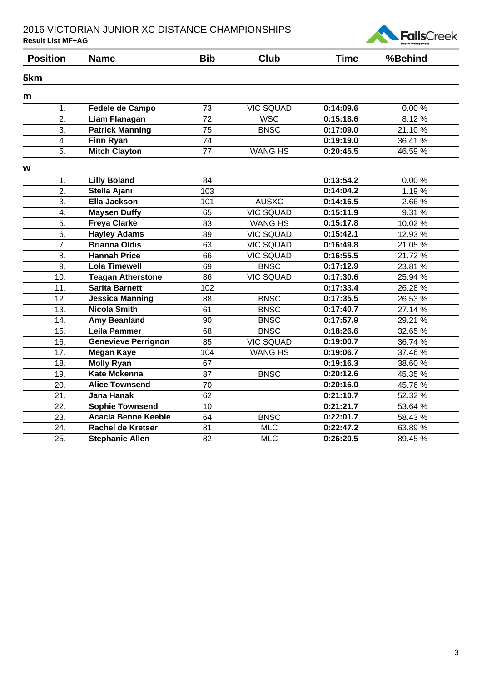

| <b>Position</b>  | <b>Name</b>                | <b>Bib</b>      | <b>Club</b>      | <b>Time</b> | %Behind |
|------------------|----------------------------|-----------------|------------------|-------------|---------|
| 5km              |                            |                 |                  |             |         |
| m                |                            |                 |                  |             |         |
| 1.               | Fedele de Campo            | 73              | <b>VIC SQUAD</b> | 0:14:09.6   | 0.00%   |
| $\overline{2}$ . | <b>Liam Flanagan</b>       | $\overline{72}$ | <b>WSC</b>       | 0:15:18.6   | 8.12%   |
| 3.               | <b>Patrick Manning</b>     | 75              | <b>BNSC</b>      | 0:17:09.0   | 21.10%  |
| 4.               | <b>Finn Ryan</b>           | $\overline{74}$ |                  | 0:19:19.0   | 36.41 % |
| 5.               | <b>Mitch Clayton</b>       | 77              | <b>WANG HS</b>   | 0:20:45.5   | 46.59%  |
| W                |                            |                 |                  |             |         |
| 1.               | <b>Lilly Boland</b>        | 84              |                  | 0:13:54.2   | 0.00%   |
| 2.               | Stella Ajani               | 103             |                  | 0:14:04.2   | 1.19%   |
| 3.               | Ella Jackson               | 101             | <b>AUSXC</b>     | 0:14:16.5   | 2.66 %  |
| 4.               | <b>Maysen Duffy</b>        | 65              | <b>VIC SQUAD</b> | 0:15:11.9   | 9.31 %  |
| 5.               | <b>Freya Clarke</b>        | 83              | <b>WANG HS</b>   | 0:15:17.8   | 10.02 % |
| $\overline{6}$ . | <b>Hayley Adams</b>        | 89              | <b>VIC SQUAD</b> | 0:15:42.1   | 12.93 % |
| $\overline{7}$ . | <b>Brianna Oldis</b>       | 63              | <b>VIC SQUAD</b> | 0:16:49.8   | 21.05 % |
| 8.               | <b>Hannah Price</b>        | 66              | <b>VIC SQUAD</b> | 0:16:55.5   | 21.72%  |
| 9.               | <b>Lola Timewell</b>       | 69              | <b>BNSC</b>      | 0:17:12.9   | 23.81 % |
| 10.              | <b>Teagan Atherstone</b>   | 86              | <b>VIC SQUAD</b> | 0:17:30.6   | 25.94 % |
| 11.              | <b>Sarita Barnett</b>      | 102             |                  | 0:17:33.4   | 26.28 % |
| 12.              | <b>Jessica Manning</b>     | 88              | <b>BNSC</b>      | 0:17:35.5   | 26.53 % |
| 13.              | <b>Nicola Smith</b>        | 61              | <b>BNSC</b>      | 0:17:40.7   | 27.14 % |
| 14.              | <b>Amy Beanland</b>        | 90              | <b>BNSC</b>      | 0:17:57.9   | 29.21 % |
| 15.              | <b>Leila Pammer</b>        | 68              | <b>BNSC</b>      | 0:18:26.6   | 32.65 % |
| 16.              | <b>Genevieve Perrignon</b> | 85              | <b>VIC SQUAD</b> | 0:19:00.7   | 36.74 % |
| 17.              | <b>Megan Kaye</b>          | 104             | <b>WANG HS</b>   | 0:19:06.7   | 37.46 % |
| 18.              | <b>Molly Ryan</b>          | 67              |                  | 0:19:16.3   | 38.60 % |
| 19.              | <b>Kate Mckenna</b>        | 87              | <b>BNSC</b>      | 0:20:12.6   | 45.35 % |
| 20.              | <b>Alice Townsend</b>      | 70              |                  | 0:20:16.0   | 45.76%  |
| 21.              | Jana Hanak                 | 62              |                  | 0:21:10.7   | 52.32 % |
| 22.              | <b>Sophie Townsend</b>     | 10              |                  | 0:21:21.7   | 53.64 % |
| 23.              | <b>Acacia Benne Keeble</b> | 64              | <b>BNSC</b>      | 0:22:01.7   | 58.43 % |
| 24.              | <b>Rachel de Kretser</b>   | 81              | <b>MLC</b>       | 0:22:47.2   | 63.89 % |
| 25.              | <b>Stephanie Allen</b>     | 82              | <b>MLC</b>       | 0:26:20.5   | 89.45 % |